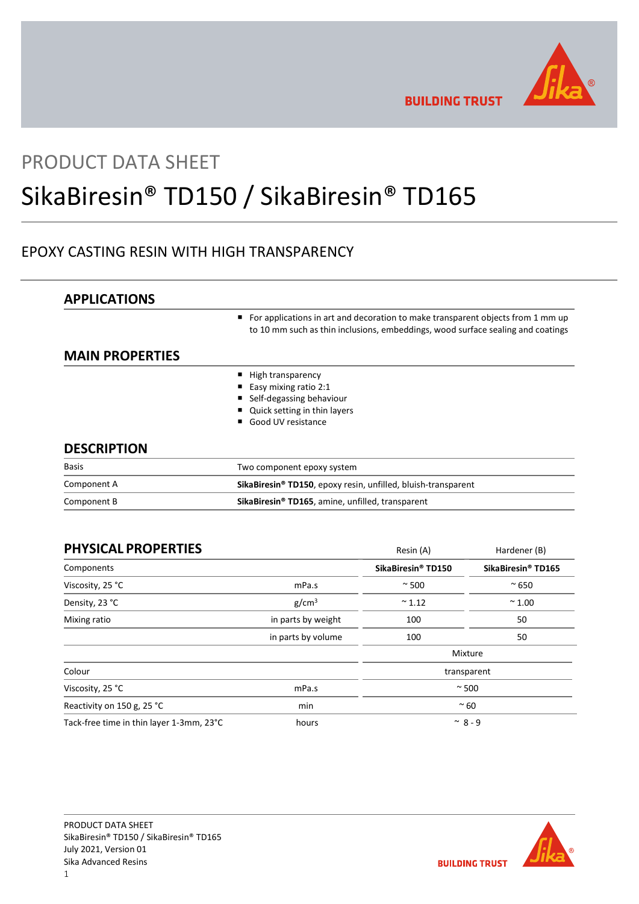

**BUILDING TRUST** 

# PRODUCT DATA SHEET

# SikaBiresin® TD150 / SikaBiresin® TD165

# EPOXY CASTING RESIN WITH HIGH TRANSPARENCY

| <b>APPLICATIONS</b>    |                                                                                                                                                                    |  |
|------------------------|--------------------------------------------------------------------------------------------------------------------------------------------------------------------|--|
|                        | For applications in art and decoration to make transparent objects from 1 mm up<br>to 10 mm such as thin inclusions, embeddings, wood surface sealing and coatings |  |
| <b>MAIN PROPERTIES</b> |                                                                                                                                                                    |  |
|                        | High transparency                                                                                                                                                  |  |
|                        | Easy mixing ratio 2:1                                                                                                                                              |  |
|                        | Self-degassing behaviour                                                                                                                                           |  |
|                        | Quick setting in thin layers                                                                                                                                       |  |
|                        | Good UV resistance                                                                                                                                                 |  |
| <b>DESCRIPTION</b>     |                                                                                                                                                                    |  |
| <b>Basis</b>           | Two component epoxy system                                                                                                                                         |  |
| Component A            | SikaBiresin <sup>®</sup> TD150, epoxy resin, unfilled, bluish-transparent                                                                                          |  |
| Component B            | SikaBiresin® TD165, amine, unfilled, transparent                                                                                                                   |  |

| <b>PHYSICAL PROPERTIES</b>               |                    | Resin (A)                      | Hardener (B)                   |
|------------------------------------------|--------------------|--------------------------------|--------------------------------|
| Components                               |                    | SikaBiresin <sup>®</sup> TD150 | SikaBiresin <sup>®</sup> TD165 |
| Viscosity, 25 °C                         | mPa.s              | $~\sim$ 500                    | $~^{\sim}$ 650                 |
| Density, 23 °C                           | g/cm <sup>3</sup>  | $~^{\sim}$ 1.12                | $~^{\sim}$ 1.00                |
| Mixing ratio                             | in parts by weight | 100                            | 50                             |
|                                          | in parts by volume | 100                            | 50                             |
|                                          |                    |                                | Mixture                        |
| Colour                                   |                    | transparent                    |                                |
| Viscosity, 25 °C                         | mPa.s              | $~\sim$ 500                    |                                |
| Reactivity on 150 g, 25 °C               | min                | $~\sim 60$                     |                                |
| Tack-free time in thin layer 1-3mm, 23°C | hours              | $~^{\sim}$ 8 - 9               |                                |

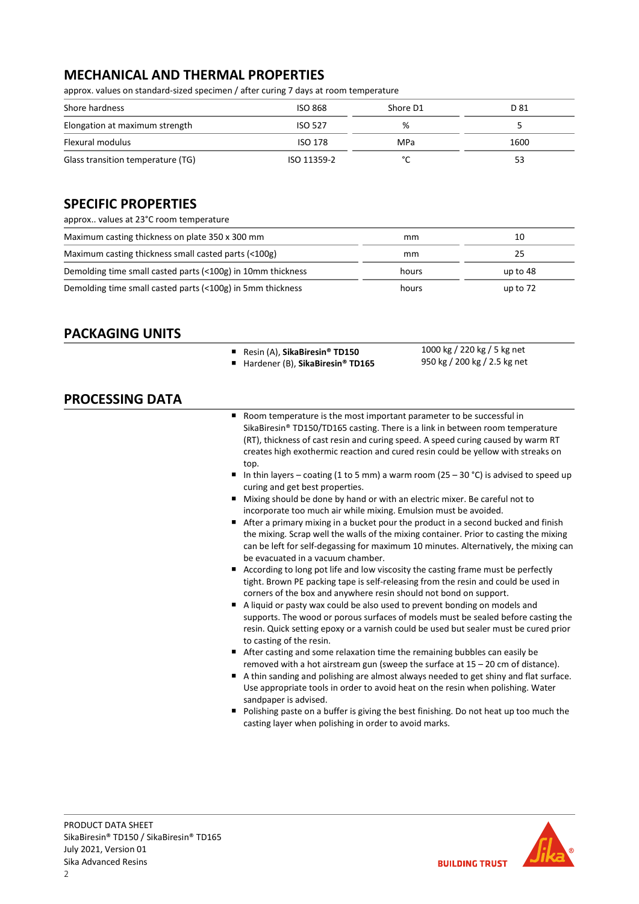# MECHANICAL AND THERMAL PROPERTIES

approx. values on standard-sized specimen / after curing 7 days at room temperature

| Shore hardness                    | <b>ISO 868</b> | Shore D1    | D 81 |
|-----------------------------------|----------------|-------------|------|
| Elongation at maximum strength    | <b>ISO 527</b> | %           |      |
| Flexural modulus                  | ISO 178        | MPa         | 1600 |
| Glass transition temperature (TG) | ISO 11359-2    | $\sim$<br>∼ | 53   |

# SPECIFIC PROPERTIES

| approx values at 23°C room temperature                      |       |            |
|-------------------------------------------------------------|-------|------------|
| Maximum casting thickness on plate 350 x 300 mm             | mm    | 10         |
| Maximum casting thickness small casted parts (<100g)        | mm    | 25         |
| Demolding time small casted parts (<100g) in 10mm thickness | hours | up to 48   |
| Demolding time small casted parts (<100g) in 5mm thickness  | hours | up to $72$ |

# PACKAGING UNITS

- Resin (A), SikaBiresin® TD150
- Hardener (B), SikaBiresin® TD165
- 1000 kg / 220 kg / 5 kg net 950 kg / 200 kg / 2.5 kg net

# PROCESSING DATA

- Room temperature is the most important parameter to be successful in SikaBiresin® TD150/TD165 casting. There is a link in between room temperature (RT), thickness of cast resin and curing speed. A speed curing caused by warm RT creates high exothermic reaction and cured resin could be yellow with streaks on top.
- In thin layers coating (1 to 5 mm) a warm room (25 30 °C) is advised to speed up curing and get best properties.
- Mixing should be done by hand or with an electric mixer. Be careful not to incorporate too much air while mixing. Emulsion must be avoided.
- After a primary mixing in a bucket pour the product in a second bucked and finish the mixing. Scrap well the walls of the mixing container. Prior to casting the mixing can be left for self-degassing for maximum 10 minutes. Alternatively, the mixing can be evacuated in a vacuum chamber.
- According to long pot life and low viscosity the casting frame must be perfectly tight. Brown PE packing tape is self-releasing from the resin and could be used in corners of the box and anywhere resin should not bond on support.
- A liquid or pasty wax could be also used to prevent bonding on models and supports. The wood or porous surfaces of models must be sealed before casting the resin. Quick setting epoxy or a varnish could be used but sealer must be cured prior to casting of the resin.
- After casting and some relaxation time the remaining bubbles can easily be removed with a hot airstream gun (sweep the surface at 15 – 20 cm of distance).
- A thin sanding and polishing are almost always needed to get shiny and flat surface. Use appropriate tools in order to avoid heat on the resin when polishing. Water sandpaper is advised.
- **Polishing paste on a buffer is giving the best finishing. Do not heat up too much the** casting layer when polishing in order to avoid marks.



**BUILDING TRUST**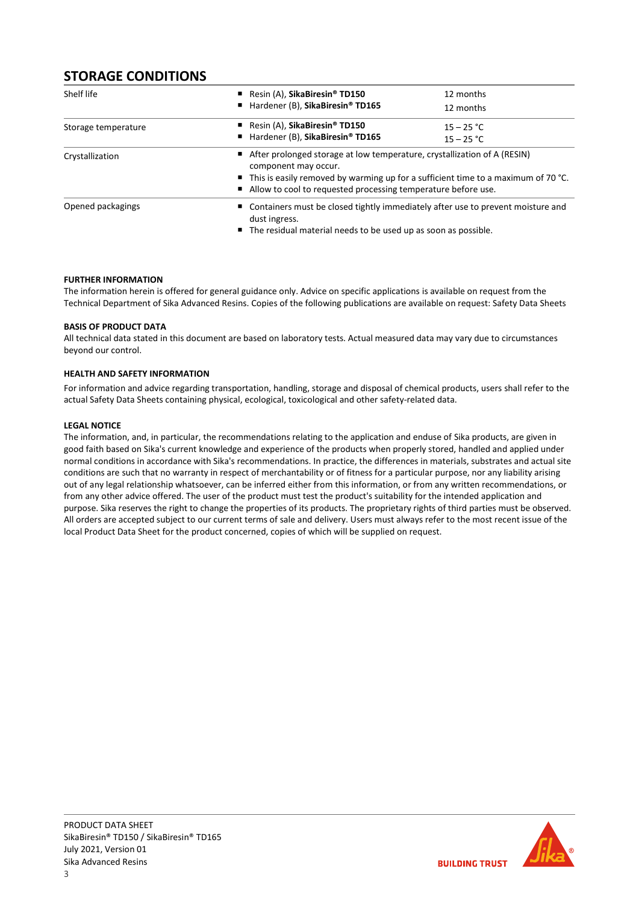# STORAGE CONDITIONS

| Shelf life          | Resin $(A)$ , SikaBiresin <sup>®</sup> TD150                                                                                                                                                                                                                            | 12 months                    |  |
|---------------------|-------------------------------------------------------------------------------------------------------------------------------------------------------------------------------------------------------------------------------------------------------------------------|------------------------------|--|
|                     | ■ Hardener (B), SikaBiresin® TD165                                                                                                                                                                                                                                      | 12 months                    |  |
| Storage temperature | Resin $(A)$ , SikaBiresin® TD150<br>■ Hardener (B), SikaBiresin® TD165                                                                                                                                                                                                  | $15 - 25 °C$<br>$15 - 25 °C$ |  |
| Crystallization     | ■ After prolonged storage at low temperature, crystallization of A (RESIN)<br>component may occur.<br>$\blacksquare$ This is easily removed by warming up for a sufficient time to a maximum of 70 °C.<br>Allow to cool to requested processing temperature before use. |                              |  |
| Opened packagings   | ■ Containers must be closed tightly immediately after use to prevent moisture and<br>dust ingress.<br>■ The residual material needs to be used up as soon as possible.                                                                                                  |                              |  |

## FURTHER INFORMATION

The information herein is offered for general guidance only. Advice on specific applications is available on request from the Technical Department of Sika Advanced Resins. Copies of the following publications are available on request: Safety Data Sheets

## BASIS OF PRODUCT DATA

All technical data stated in this document are based on laboratory tests. Actual measured data may vary due to circumstances beyond our control.

## HEALTH AND SAFETY INFORMATION

For information and advice regarding transportation, handling, storage and disposal of chemical products, users shall refer to the actual Safety Data Sheets containing physical, ecological, toxicological and other safety-related data.

### LEGAL NOTICE

The information, and, in particular, the recommendations relating to the application and enduse of Sika products, are given in good faith based on Sika's current knowledge and experience of the products when properly stored, handled and applied under normal conditions in accordance with Sika's recommendations. In practice, the differences in materials, substrates and actual site conditions are such that no warranty in respect of merchantability or of fitness for a particular purpose, nor any liability arising out of any legal relationship whatsoever, can be inferred either from this information, or from any written recommendations, or from any other advice offered. The user of the product must test the product's suitability for the intended application and purpose. Sika reserves the right to change the properties of its products. The proprietary rights of third parties must be observed. All orders are accepted subject to our current terms of sale and delivery. Users must always refer to the most recent issue of the local Product Data Sheet for the product concerned, copies of which will be supplied on request.

**BUILDING TRUST**